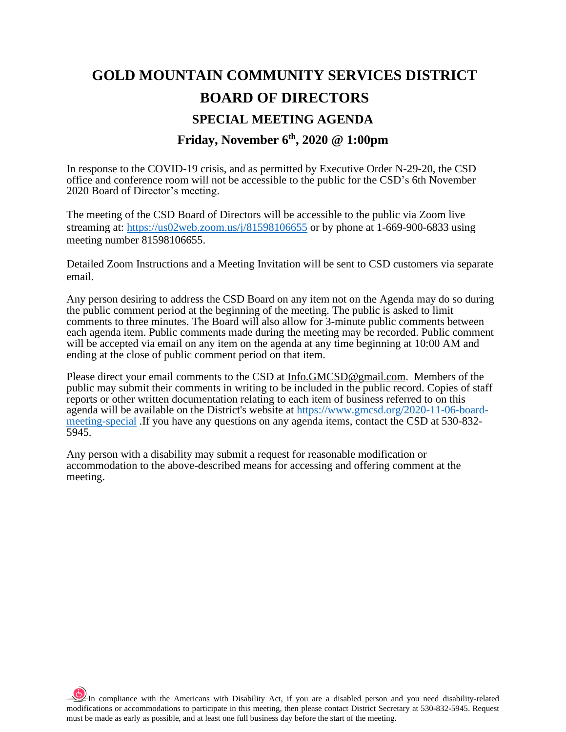# **GOLD MOUNTAIN COMMUNITY SERVICES DISTRICT BOARD OF DIRECTORS SPECIAL MEETING AGENDA Friday, November 6 th, 2020 @ 1:00pm**

In response to the COVID-19 crisis, and as permitted by Executive Order N-29-20, the CSD office and conference room will not be accessible to the public for the CSD's 6th November 2020 Board of Director's meeting.

The meeting of the CSD Board of Directors will be accessible to the public via Zoom live streaming at: <https://us02web.zoom.us/j/81598106655> or by phone at 1-669-900-6833 using meeting number 81598106655.

Detailed Zoom Instructions and a Meeting Invitation will be sent to CSD customers via separate email.

Any person desiring to address the CSD Board on any item not on the Agenda may do so during the public comment period at the beginning of the meeting. The public is asked to limit comments to three minutes. The Board will also allow for 3-minute public comments between each agenda item. Public comments made during the meeting may be recorded. Public comment will be accepted via email on any item on the agenda at any time beginning at 10:00 AM and ending at the close of public comment period on that item.

Please direct your email comments to the CSD at [Info.GMCSD@gmail.com.](mailto:Info.GMCSD@gmail.com) Members of the public may submit their comments in writing to be included in the public record. Copies of staff reports or other written documentation relating to each item of business referred to on this agenda will be available on the District's website at [https://www.gmcsd.org/2020-11-06-board](https://www.gmcsd.org/2020-11-06-board-meeting-special)[meeting-special](https://www.gmcsd.org/2020-11-06-board-meeting-special) .If you have any questions on any agenda items, contact the CSD at 530-832- 5945.

Any person with a disability may submit a request for reasonable modification or accommodation to the above-described means for accessing and offering comment at the meeting.

 $\frac{1}{2}$ In compliance with the Americans with Disability Act, if you are a disabled person and you need disability-related modifications or accommodations to participate in this meeting, then please contact District Secretary at 530-832-5945. Request must be made as early as possible, and at least one full business day before the start of the meeting.